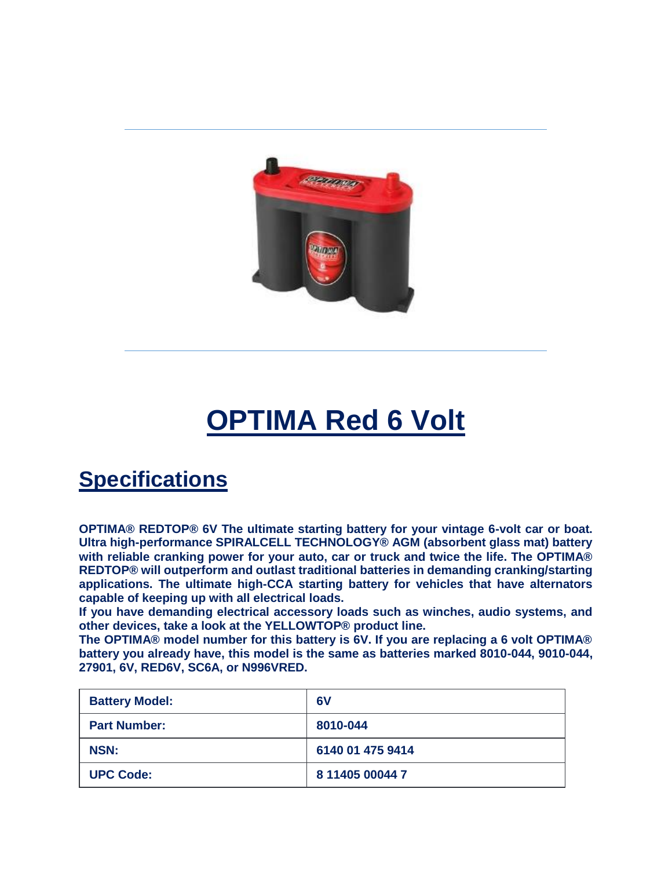

## **OPTIMA Red 6 Volt**

## **Specifications**

**OPTIMA® REDTOP® 6V The ultimate starting battery for your vintage 6-volt car or boat. Ultra high-performance SPIRALCELL TECHNOLOGY® AGM (absorbent glass mat) battery with reliable cranking power for your auto, car or truck and twice the life. The OPTIMA® REDTOP® will outperform and outlast traditional batteries in demanding cranking/starting applications. The ultimate high-CCA starting battery for vehicles that have alternators capable of keeping up with all electrical loads.**

**If you have demanding electrical accessory loads such as winches, audio systems, and other devices, take a look at the YELLOWTOP® product line.**

**The OPTIMA® model number for this battery is 6V. If you are replacing a 6 volt OPTIMA® battery you already have, this model is the same as batteries marked 8010-044, 9010-044, 27901, 6V, RED6V, SC6A, or N996VRED.**

| <b>Battery Model:</b> | 6V               |
|-----------------------|------------------|
| <b>Part Number:</b>   | 8010-044         |
| <b>NSN:</b>           | 6140 01 475 9414 |
| <b>UPC Code:</b>      | 8 11405 00044 7  |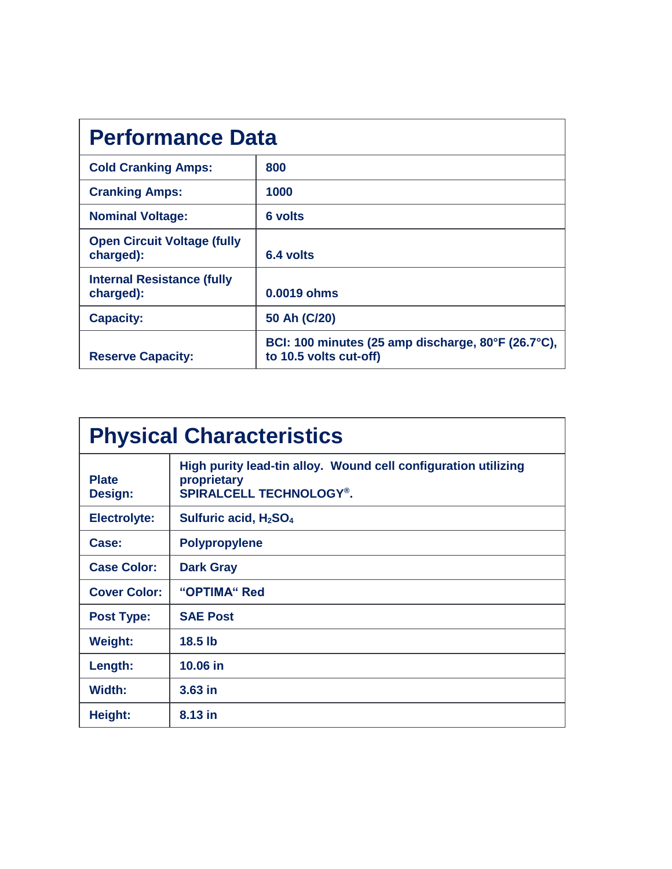| <b>Performance Data</b>                         |                                                                              |  |
|-------------------------------------------------|------------------------------------------------------------------------------|--|
| <b>Cold Cranking Amps:</b>                      | 800                                                                          |  |
| <b>Cranking Amps:</b>                           | 1000                                                                         |  |
| <b>Nominal Voltage:</b>                         | <b>6 volts</b>                                                               |  |
| <b>Open Circuit Voltage (fully</b><br>charged): | 6.4 volts                                                                    |  |
| <b>Internal Resistance (fully</b><br>charged):  | 0.0019 ohms                                                                  |  |
| <b>Capacity:</b>                                | 50 Ah (C/20)                                                                 |  |
| <b>Reserve Capacity:</b>                        | BCI: 100 minutes (25 amp discharge, 80°F (26.7°C),<br>to 10.5 volts cut-off) |  |

| <b>Physical Characteristics</b> |                                                                                                                 |  |
|---------------------------------|-----------------------------------------------------------------------------------------------------------------|--|
| <b>Plate</b><br>Design:         | High purity lead-tin alloy. Wound cell configuration utilizing<br>proprietary<br><b>SPIRALCELL TECHNOLOGY®.</b> |  |
| <b>Electrolyte:</b>             | Sulfuric acid, H <sub>2</sub> SO <sub>4</sub>                                                                   |  |
| Case:                           | <b>Polypropylene</b>                                                                                            |  |
| <b>Case Color:</b>              | <b>Dark Gray</b>                                                                                                |  |
| <b>Cover Color:</b>             | "OPTIMA" Red                                                                                                    |  |
| <b>Post Type:</b>               | <b>SAE Post</b>                                                                                                 |  |
| <b>Weight:</b>                  | $18.5$ lb                                                                                                       |  |
| Length:                         | 10.06 in                                                                                                        |  |
| Width:                          | $3.63$ in                                                                                                       |  |
| <b>Height:</b>                  | 8.13 in                                                                                                         |  |